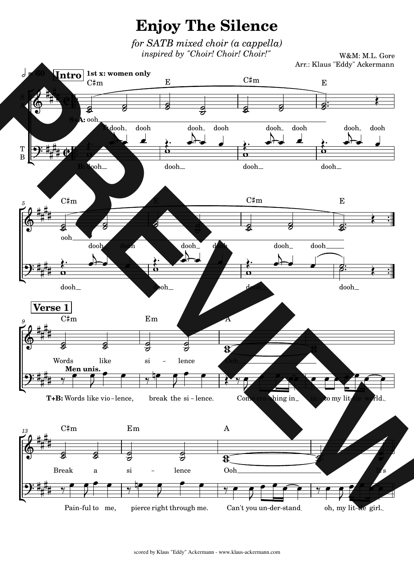**Enjoy The Silence** 

*for SATB mixed choir (a cappella) inspired by "Choir! Choir! Choir!"*

W&M: M.L. Gore Arr.: Klaus "Eddy" Ackermann

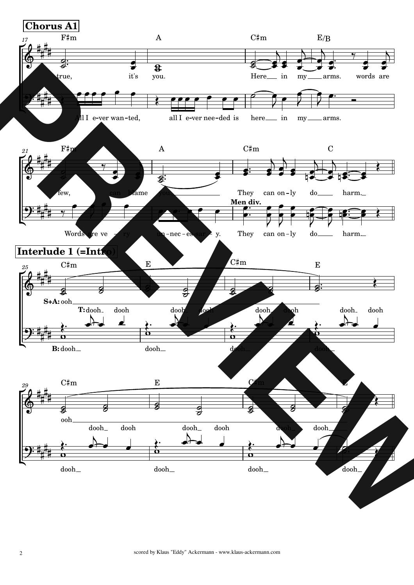